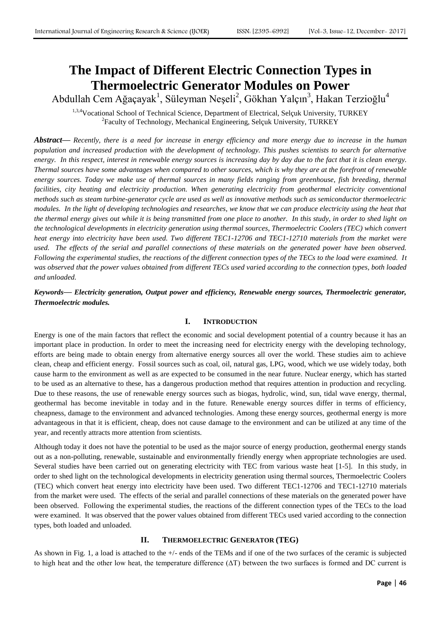# **The Impact of Different Electric Connection Types in Thermoelectric Generator Modules on Power**

Abdullah Cem Ağaçayak<sup>1</sup>, Süleyman Neşeli<sup>2</sup>, Gökhan Yalçın<sup>3</sup>, Hakan Terzioğlu<sup>4</sup>

1,3,4 Vocational School of Technical Science, Department of Electrical, Selçuk University, TURKEY <sup>2</sup> Faculty of Technology, Mechanical Engineering, Selçuk University, TURKEY

*Abstract***—** *Recently, there is a need for increase in energy efficiency and more energy due to increase in the human population and increased production with the development of technology. This pushes scientists to search for alternative energy. In this respect, interest in renewable energy sources is increasing day by day due to the fact that it is clean energy. Thermal sources have some advantages when compared to other sources, which is why they are at the forefront of renewable*  energy sources. Today we make use of thermal sources in many fields ranging from greenhouse, fish breeding, thermal *facilities, city heating and electricity production. When generating electricity from geothermal electricity conventional methods such as steam turbine-generator cycle are used as well as innovative methods such as semiconductor thermoelectric modules. In the light of developing technologies and researches, we know that we can produce electricity using the heat that the thermal energy gives out while it is being transmitted from one place to another. In this study, in order to shed light on the technological developments in electricity generation using thermal sources, Thermoelectric Coolers (TEC) which convert heat energy into electricity have been used. Two different TEC1-12706 and TEC1-12710 materials from the market were used. The effects of the serial and parallel connections of these materials on the generated power have been observed. Following the experimental studies, the reactions of the different connection types of the TECs to the load were examined. It was observed that the power values obtained from different TECs used varied according to the connection types, both loaded and unloaded.*

# *Keywords***—** *Electricity generation, Output power and efficiency, Renewable energy sources, Thermoelectric generator, Thermoelectric modules.*

## **I. INTRODUCTION**

Energy is one of the main factors that reflect the economic and social development potential of a country because it has an important place in production. In order to meet the increasing need for electricity energy with the developing technology, efforts are being made to obtain energy from alternative energy sources all over the world. These studies aim to achieve clean, cheap and efficient energy. Fossil sources such as coal, oil, natural gas, LPG, wood, which we use widely today, both cause harm to the environment as well as are expected to be consumed in the near future. Nuclear energy, which has started to be used as an alternative to these, has a dangerous production method that requires attention in production and recycling. Due to these reasons, the use of renewable energy sources such as biogas, hydrolic, wind, sun, tidal wave energy, thermal, geothermal has become inevitable in today and in the future. Renewable energy sources differ in terms of efficiency, cheapness, damage to the environment and advanced technologies. Among these energy sources, geothermal energy is more advantageous in that it is efficient, cheap, does not cause damage to the environment and can be utilized at any time of the year, and recently attracts more attention from scientists.

Although today it does not have the potential to be used as the major source of energy production, geothermal energy stands out as a non-polluting, renewable, sustainable and environmentally friendly energy when appropriate technologies are used. Several studies have been carried out on generating electricity with TEC from various waste heat [1-5]. In this study, in order to shed light on the technological developments in electricity generation using thermal sources, Thermoelectric Coolers (TEC) which convert heat energy into electricity have been used. Two different TEC1-12706 and TEC1-12710 materials from the market were used. The effects of the serial and parallel connections of these materials on the generated power have been observed. Following the experimental studies, the reactions of the different connection types of the TECs to the load were examined. It was observed that the power values obtained from different TECs used varied according to the connection types, both loaded and unloaded.

## **II. THERMOELECTRIC GENERATOR (TEG)**

As shown in Fig. 1, a load is attached to the +/- ends of the TEMs and if one of the two surfaces of the ceramic is subjected to high heat and the other low heat, the temperature difference (ΔT) between the two surfaces is formed and DC current is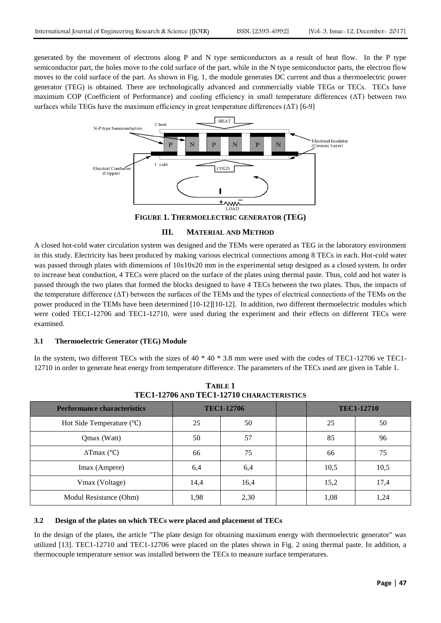generated by the movement of electrons along P and N type semiconductors as a result of heat flow. In the P type semiconductor part, the holes move to the cold surface of the part, while in the N type semiconductor parts, the electron flow moves to the cold surface of the part. As shown in Fig. 1, the module generates DC current and thus a thermoelectric power generator (TEG) is obtained. There are technologically advanced and commercially viable TEGs or TECs. TECs have maximum COP (Coefficient of Performance) and cooling efficiency in small temperature differences (ΔT) between two surfaces while TEGs have the maximum efficiency in great temperature differences  $(\Delta T)$  [6-9]



**FIGURE 1. THERMOELECTRIC GENERATOR (TEG)**

#### **III. MATERIAL AND METHOD**

A closed hot-cold water circulation system was designed and the TEMs were operated as TEG in the laboratory environment in this study. Electricity has been produced by making various electrical connections among 8 TECs in each. Hot-cold water was passed through plates with dimensions of  $10x10x20$  mm in the experimental setup designed as a closed system. In order to increase heat conduction, 4 TECs were placed on the surface of the plates using thermal paste. Thus, cold and hot water is passed through the two plates that formed the blocks designed to have 4 TECs between the two plates. Thus, the impacts of the temperature difference (ΔT) between the surfaces of the TEMs and the types of electrical connections of the TEMs on the power produced in the TEMs have been determined [10-12][10-12]. In addition, two different thermoelectric modules which were coded TEC1-12706 and TEC1-12710, were used during the experiment and their effects on different TECs were examined.

## **3.1 Thermoelectric Generator (TEG) Module**

In the system, two different TECs with the sizes of 40  $*$  40  $*$  3.8 mm were used with the codes of TEC1-12706 ve TEC1-12710 in order to generate heat energy from temperature difference. The parameters of the TECs used are given in Table 1.

| TECI-12706 AND TECI-12710 CHARACTERISTICS |                   |      |  |      |                   |  |  |  |  |  |  |
|-------------------------------------------|-------------------|------|--|------|-------------------|--|--|--|--|--|--|
| <b>Performance characteristics</b>        | <b>TEC1-12706</b> |      |  |      | <b>TEC1-12710</b> |  |  |  |  |  |  |
| Hot Side Temperature $(^{\circ}C)$        | 25                | 50   |  | 25   | 50                |  |  |  |  |  |  |
| Qmax (Watt)                               | 50                | 57   |  | 85   | 96                |  |  |  |  |  |  |
| $\Delta$ Tmax (°C)                        | 66                | 75   |  | 66   | 75                |  |  |  |  |  |  |
| Imax (Ampere)                             | 6,4               | 6,4  |  | 10,5 | 10,5              |  |  |  |  |  |  |
| Vmax (Voltage)                            | 14,4              | 16,4 |  | 15,2 | 17,4              |  |  |  |  |  |  |
| Modul Resistance (Ohm)                    | 1,98              | 2,30 |  | 1,08 | 1,24              |  |  |  |  |  |  |

**TABLE 1 TEC1-12706 AND TEC1-12710 CHARACTERISTICS**

#### **3.2 Design of the plates on which TECs were placed and placement of TECs**

In the design of the plates, the article "The plate design for obtaining maximum energy with thermoelectric generator" was utilized [13]. TEC1-12710 and TEC1-12706 were placed on the plates shown in Fig. 2 using thermal paste. In addition, a thermocouple temperature sensor was installed between the TECs to measure surface temperatures.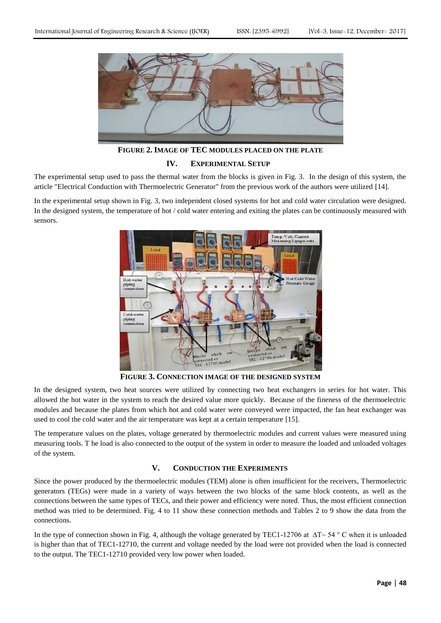

**FIGURE 2. IMAGE OF TEC MODULES PLACED ON THE PLATE**

#### **IV. EXPERIMENTAL SETUP**

The experimental setup used to pass the thermal water from the blocks is given in Fig. 3. In the design of this system, the article "Electrical Conduction with Thermoelectric Generator" from the previous work of the authors were utilized [14].

In the experimental setup shown in Fig. 3, two independent closed systems for hot and cold water circulation were designed. In the designed system, the temperature of hot / cold water entering and exiting the plates can be continuously measured with sensors.



**FIGURE 3. CONNECTION IMAGE OF THE DESIGNED SYSTEM**

In the designed system, two heat sources were utilized by connecting two heat exchangers in series for hot water. This allowed the hot water in the system to reach the desired value more quickly. Because of the fineness of the thermoelectric modules and because the plates from which hot and cold water were conveyed were impacted, the fan heat exchanger was used to cool the cold water and the air temperature was kept at a certain temperature [15].

The temperature values on the plates, voltage generated by thermoelectric modules and current values were measured using measuring tools. T he load is also connected to the output of the system in order to measure the loaded and unloaded voltages of the system.

## **V. CONDUCTION THE EXPERIMENTS**

Since the power produced by the thermoelectric modules (TEM) alone is often insufficient for the receivers, Thermoelectric generators (TEGs) were made in a variety of ways between the two blocks of the same block contents, as well as the connections between the same types of TECs, and their power and efficiency were noted. Thus, the most efficient connection method was tried to be determined. Fig. 4 to 11 show these connection methods and Tables 2 to 9 show the data from the connections.

In the type of connection shown in Fig. 4, although the voltage generated by TEC1-12706 at ∆T~ 54 ° C when it is unloaded is higher than that of TEC1-12710, the current and voltage needed by the load were not provided when the load is connected to the output. The TEC1-12710 provided very low power when loaded.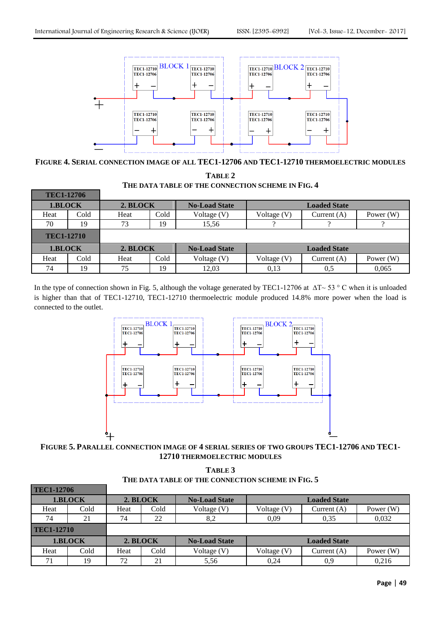**TEC1-12706**



**FIGURE 4. SERIAL CONNECTION IMAGE OF ALL TEC1-12706 AND TEC1-12710 THERMOELECTRIC MODULES**

**TABLE 2 THE DATA TABLE OF THE CONNECTION SCHEME IN FIG. 4**

| <b>TEC1-12706</b> |      |          |      |                      |                     |                     |             |
|-------------------|------|----------|------|----------------------|---------------------|---------------------|-------------|
| 1.BLOCK           |      | 2. BLOCK |      | <b>No-Load State</b> | <b>Loaded State</b> |                     |             |
| Heat              | Cold | Heat     | Cold | Voltage $(V)$        | Voltage (V)         | Current $(A)$       | Power (W)   |
| 70                | 19   | 73       | 19   | 15,56                |                     |                     |             |
| <b>TEC1-12710</b> |      |          |      |                      |                     |                     |             |
| 1.BLOCK           |      | 2. BLOCK |      | <b>No-Load State</b> |                     | <b>Loaded State</b> |             |
| Heat              | Cold | Heat     | Cold | Voltage (V)          | Voltage $(V)$       | Current $(A)$       | Power $(W)$ |
| 74                | 19   | 75       | 19   | 12.03                | 0.13                | 0.5                 | 0,065       |

In the type of connection shown in Fig. 5, although the voltage generated by TEC1-12706 at ∆T~ 53 ° C when it is unloaded is higher than that of TEC1-12710, TEC1-12710 thermoelectric module produced 14.8% more power when the load is connected to the outlet.



**FIGURE 5. PARALLEL CONNECTION IMAGE OF 4 SERIAL SERIES OF TWO GROUPS TEC1-12706 AND TEC1- 12710 THERMOELECTRIC MODULES**

| TABLE 3                                           |
|---------------------------------------------------|
| THE DATA TABLE OF THE CONNECTION SCHEME IN FIG. 5 |

| $\mathbf{1} \mathbf{1}$ |      |          |      |                      |                     |                     |             |
|-------------------------|------|----------|------|----------------------|---------------------|---------------------|-------------|
| 1.BLOCK                 |      | 2. BLOCK |      | <b>No-Load State</b> | <b>Loaded State</b> |                     |             |
| Heat                    | Cold | Heat     | Cold | Voltage $(V)$        | Voltage (V)         | Current $(A)$       | Power $(W)$ |
| 74                      | 21   | 74       | 22   | 8,2                  | 0,09                | 0.35                | 0,032       |
| <b>TEC1-12710</b>       |      |          |      |                      |                     |                     |             |
| 1.BLOCK                 |      | 2. BLOCK |      | <b>No-Load State</b> |                     | <b>Loaded State</b> |             |
| Heat                    | Cold | Heat     | Cold | Voltage $(V)$        | Voltage (V)         | Current $(A)$       | Power $(W)$ |
| 71                      | 19   | 72       | 21   | 5.56                 | 0,24                | 0.9                 | 0,216       |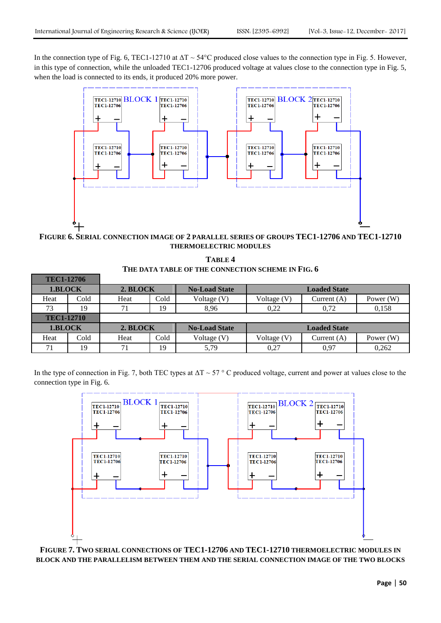**TEC1-12706**

In the connection type of Fig. 6, TEC1-12710 at  $\Delta T \sim 54^{\circ}$ C produced close values to the connection type in Fig. 5. However, in this type of connection, while the unloaded TEC1-12706 produced voltage at values close to the connection type in Fig. 5, when the load is connected to its ends, it produced 20% more power.



**FIGURE 6. SERIAL CONNECTION IMAGE OF 2 PARALLEL SERIES OF GROUPS TEC1-12706 AND TEC1-12710 THERMOELECTRIC MODULES**

| TABLE 4                                           |
|---------------------------------------------------|
| THE DATA TABLE OF THE CONNECTION SCHEME IN FIG. 6 |

| 1 EU 1 - 1 4 7 00 |      |          |      |                      |                     |                     |             |
|-------------------|------|----------|------|----------------------|---------------------|---------------------|-------------|
| 1.BLOCK           |      | 2. BLOCK |      | <b>No-Load State</b> | <b>Loaded State</b> |                     |             |
| Heat              | Cold | Heat     | Cold | Voltage (V)          | Voltage $(V)$       | Current $(A)$       | Power (W)   |
| 73                | 19   | 71       | 19   | 8.96                 | 0.22                | 0.72                | 0,158       |
| <b>TEC1-12710</b> |      |          |      |                      |                     |                     |             |
| 1.BLOCK           |      | 2. BLOCK |      | <b>No-Load State</b> |                     | <b>Loaded State</b> |             |
| Heat              | Cold | Heat     | Cold | Voltage $(V)$        | Voltage $(V)$       | Current $(A)$       | Power $(W)$ |
| 71                | 19   | 71       | 19   | 5,79                 | 0,27                | 0.97                | 0,262       |

In the type of connection in Fig. 7, both TEC types at  $\Delta T \sim 57$  ° C produced voltage, current and power at values close to the connection type in Fig. 6.



**FIGURE 7. TWO SERIAL CONNECTIONS OF TEC1-12706 AND TEC1-12710 THERMOELECTRIC MODULES IN BLOCK AND THE PARALLELISM BETWEEN THEM AND THE SERIAL CONNECTION IMAGE OF THE TWO BLOCKS**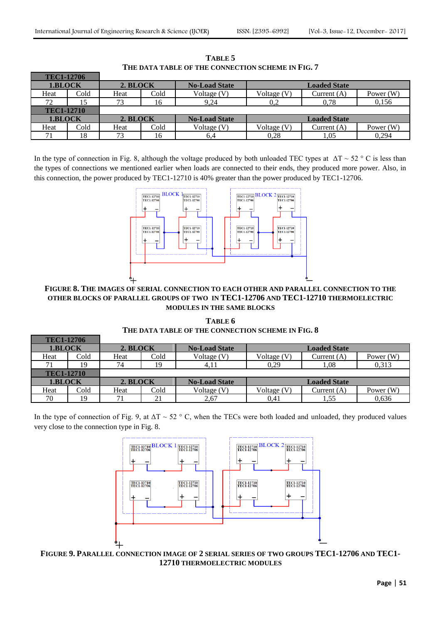| <b>TEC1-12706</b> |      |          |      |                      |                     |                     |           |
|-------------------|------|----------|------|----------------------|---------------------|---------------------|-----------|
| 1.BLOCK           |      | 2. BLOCK |      | <b>No-Load State</b> | <b>Loaded State</b> |                     |           |
| Heat              | Cold | Heat     | Cold | Voltage (V)          | Voltage (V)         | Current $(A)$       | Power (W) |
| 72                | 15   | 73       | 16   | 9.24                 | 0.2                 | 0.78                | 0,156     |
| <b>TEC1-12710</b> |      |          |      |                      |                     |                     |           |
| 1.BLOCK           |      | 2. BLOCK |      | <b>No-Load State</b> |                     | <b>Loaded State</b> |           |
| Heat              | Cold | Heat     | Cold | Voltage (V)          | Voltage (V)         | Current $(A)$       | Power (W) |
|                   | 18   | 73       | 16   | 6,4                  | 0.28                | 1,05                | 0.294     |

**TABLE 5 THE DATA TABLE OF THE CONNECTION SCHEME IN FIG. 7**

In the type of connection in Fig. 8, although the voltage produced by both unloaded TEC types at  $\Delta T \sim 52$  ° C is less than the types of connections we mentioned earlier when loads are connected to their ends, they produced more power. Also, in this connection, the power produced by TEC1-12710 is 40% greater than the power produced by TEC1-12706.



**FIGURE 8. THE IMAGES OF SERIAL CONNECTION TO EACH OTHER AND PARALLEL CONNECTION TO THE OTHER BLOCKS OF PARALLEL GROUPS OF TWO IN TEC1-12706 AND TEC1-12710 THERMOELECTRIC MODULES IN THE SAME BLOCKS**

**TABLE 6 THE DATA TABLE OF THE CONNECTION SCHEME IN FIG. 8**

| <b>TEC1-12706</b> |                   |          |      |                      |                     |                     |             |
|-------------------|-------------------|----------|------|----------------------|---------------------|---------------------|-------------|
| 1.BLOCK           |                   | 2. BLOCK |      | <b>No-Load State</b> | <b>Loaded State</b> |                     |             |
| Heat              | Cold              | Heat     | Cold | Voltage (V)          | Voltage (V)         | Current $(A)$       | Power $(W)$ |
|                   | 19                | 74       |      | 4.11                 | 0.29                | 1,08                | 0,313       |
|                   | <b>TEC1-12710</b> |          |      |                      |                     |                     |             |
| 1.BLOCK           |                   | 2. BLOCK |      | <b>No-Load State</b> |                     | <b>Loaded State</b> |             |
| Heat              | Cold              | Heat     | Cold | Voltage (V)          | Voltage $(V)$       | Current $(A)$       | Power (W)   |
| 70                | 19                |          | 21   | 2,67                 | 0.41                | 1,55                | 0,636       |

In the type of connection of Fig. 9, at  $\Delta T \sim 52 \degree$  C, when the TECs were both loaded and unloaded, they produced values very close to the connection type in Fig. 8.



**FIGURE 9. PARALLEL CONNECTION IMAGE OF 2 SERIAL SERIES OF TWO GROUPS TEC1-12706 AND TEC1- 12710 THERMOELECTRIC MODULES**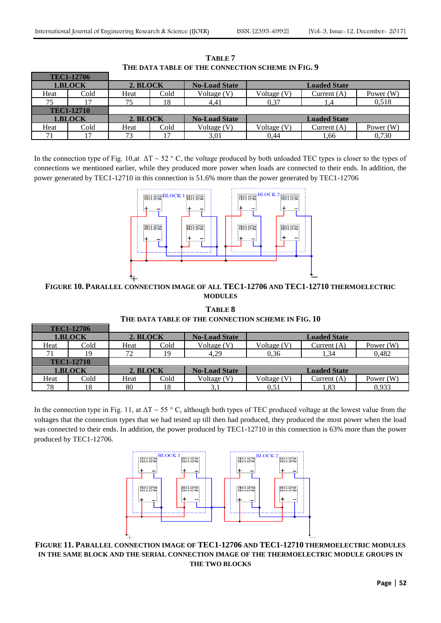|                   | TEC1-12706 |          |      |                      |                     |                     |             |
|-------------------|------------|----------|------|----------------------|---------------------|---------------------|-------------|
| 1.BLOCK           |            | 2. BLOCK |      | <b>No-Load State</b> | <b>Loaded State</b> |                     |             |
| Heat              | Cold       | Heat     | Cold | Voltage (V)          | Voltage (V)         | Current $(A)$       | Power $(W)$ |
| 75                |            | 75       | 18   | 4,41                 | 0.37                |                     | 0.518       |
| <b>TEC1-12710</b> |            |          |      |                      |                     |                     |             |
| 1.BLOCK           |            | 2. BLOCK |      | <b>No-Load State</b> |                     | <b>Loaded State</b> |             |
| Heat              | Cold       | Heat     | Cold | Voltage (V)          | Voltage (V)         | Current $(A)$       | Power $(W)$ |
| 71                |            | 73       |      | 3,01                 | 0.44                | 1,66                | 0,730       |

**TABLE 7 THE DATA TABLE OF THE CONNECTION SCHEME IN FIG. 9**

In the connection type of Fig. 10,at  $\Delta T \sim 52$  ° C, the voltage produced by both unloaded TEC types is closer to the types of connections we mentioned earlier, while they produced more power when loads are connected to their ends. In addition, the power generated by TEC1-12710 in this connection is 51.6% more than the power generated by TEC1-12706



**FIGURE 10. PARALLEL CONNECTION IMAGE OF ALL TEC1-12706 AND TEC1-12710 THERMOELECTRIC MODULES**

**TABLE 8 THE DATA TABLE OF THE CONNECTION SCHEME IN FIG. 10**

|                   | <b>TEC1-12706</b> |          |      |                      |                     |                     |             |
|-------------------|-------------------|----------|------|----------------------|---------------------|---------------------|-------------|
| 1.BLOCK           |                   | 2. BLOCK |      | <b>No-Load State</b> | <b>Loaded State</b> |                     |             |
| Heat              | Cold              | Heat     | Cold | Voltage (V)          | Voltage (V)         | Current $(A)$       | Power $(W)$ |
| 71                |                   | 72       | 19   | 4.29                 | 0.36                | 1.34                | 0,482       |
| <b>TEC1-12710</b> |                   |          |      |                      |                     |                     |             |
| 1.BLOCK           |                   | 2. BLOCK |      | <b>No-Load State</b> |                     | <b>Loaded State</b> |             |
| Heat              | Cold              | Heat     | Cold | Voltage (V)          | Voltage $(V)$       | Current (A)         | Power $(W)$ |
| 78                |                   | 80       | 18   | 3,1                  | $\rm 0.51$          | 1.83                | 0,933       |

In the connection type in Fig. 11, at  $\Delta T \sim 55$  ° C, although both types of TEC produced voltage at the lowest value from the voltages that the connection types that we had tested up till then had produced, they produced the most power when the load was connected to their ends. In addition, the power produced by TEC1-12710 in this connection is 63% more than the power produced by TEC1-12706.



**FIGURE 11. PARALLEL CONNECTION IMAGE OF TEC1-12706 AND TEC1-12710 THERMOELECTRIC MODULES IN THE SAME BLOCK AND THE SERIAL CONNECTION IMAGE OF THE THERMOELECTRIC MODULE GROUPS IN THE TWO BLOCKS**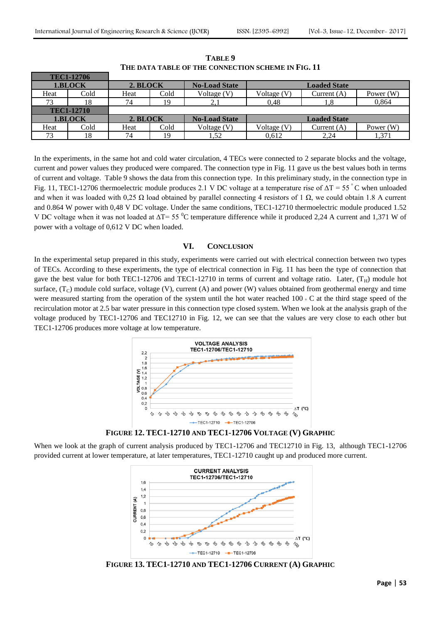|         | <b>TEC1-12706</b> |          |      |                      |                              |                     |             |
|---------|-------------------|----------|------|----------------------|------------------------------|---------------------|-------------|
| 1.BLOCK |                   | 2. BLOCK |      | <b>No-Load State</b> | <b>Loaded State</b>          |                     |             |
| Heat    | Cold              | Heat     | Cold | Voltage $(V)$        | Voltage (V)<br>Current $(A)$ |                     | Power $(W)$ |
| 73      | 18                | 74       | 19   | 2.1                  | 0.48                         |                     | 0,864       |
|         | <b>TEC1-12710</b> |          |      |                      |                              |                     |             |
| 1.BLOCK |                   | 2. BLOCK |      | <b>No-Load State</b> |                              | <b>Loaded State</b> |             |
| Heat    | Cold              | Heat     | Cold | Voltage (V)          | Voltage (V)                  | Current $(A)$       | Power $(W)$ |
| 73      | 18                | 74       | 19   | 1,52                 | 0.612                        | 2,24                | 1,371       |

**TABLE 9 THE DATA TABLE OF THE CONNECTION SCHEME IN FIG. 11**

In the experiments, in the same hot and cold water circulation, 4 TECs were connected to 2 separate blocks and the voltage, current and power values they produced were compared. The connection type in Fig. 11 gave us the best values both in terms of current and voltage. Table 9 shows the data from this connection type. In this preliminary study, in the connection type in Fig. 11, TEC1-12706 thermoelectric module produces 2.1 V DC voltage at a temperature rise of  $\Delta T = 55^{\circ}$ C when unloaded and when it was loaded with 0,25  $\Omega$  load obtained by parallel connecting 4 resistors of 1  $\Omega$ , we could obtain 1.8 A current and 0.864 W power with 0,48 V DC voltage. Under the same conditions, TEC1-12710 thermoelectric module produced 1.52 V DC voltage when it was not loaded at  $\Delta T = 55 \degree C$  temperature difference while it produced 2,24 A current and 1,371 W of power with a voltage of 0,612 V DC when loaded.

#### **VI. CONCLUSION**

In the experimental setup prepared in this study, experiments were carried out with electrical connection between two types of TECs. According to these experiments, the type of electrical connection in Fig. 11 has been the type of connection that gave the best value for both TEC1-12706 and TEC1-12710 in terms of current and voltage ratio. Later,  $(T_H)$  module hot surface,  $(T_C)$  module cold surface, voltage (V), current (A) and power (W) values obtained from geothermal energy and time were measured starting from the operation of the system until the hot water reached  $100 \cdot C$  at the third stage speed of the recirculation motor at 2.5 bar water pressure in this connection type closed system. When we look at the analysis graph of the voltage produced by TEC1-12706 and TEC12710 in Fig. 12, we can see that the values are very close to each other but TEC1-12706 produces more voltage at low temperature.





When we look at the graph of current analysis produced by TEC1-12706 and TEC12710 in Fig. 13, although TEC1-12706 provided current at lower temperature, at later temperatures, TEC1-12710 caught up and produced more current.



**FIGURE 13. TEC1-12710 AND TEC1-12706 CURRENT (A) GRAPHIC**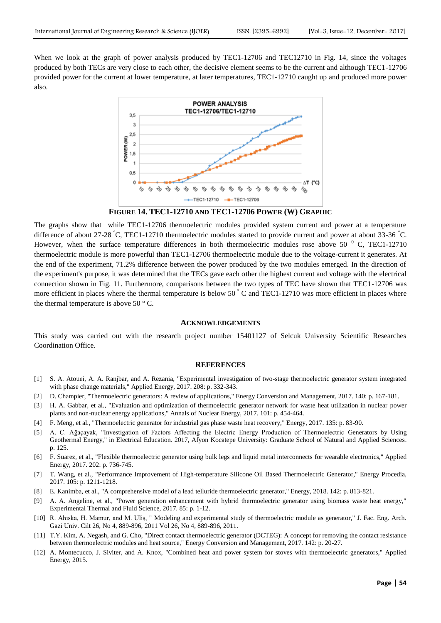When we look at the graph of power analysis produced by TEC1-12706 and TEC12710 in Fig. 14, since the voltages produced by both TECs are very close to each other, the decisive element seems to be the current and although TEC1-12706 provided power for the current at lower temperature, at later temperatures, TEC1-12710 caught up and produced more power also.



**FIGURE 14. TEC1-12710 AND TEC1-12706 POWER (W) GRAPHIC**

The graphs show that while TEC1-12706 thermoelectric modules provided system current and power at a temperature difference of about 27-28 °C, TEC1-12710 thermoelectric modules started to provide current and power at about 33-36 °C. However, when the surface temperature differences in both thermoelectric modules rose above 50  $^{0}$  C, TEC1-12710 thermoelectric module is more powerful than TEC1-12706 thermoelectric module due to the voltage-current it generates. At the end of the experiment, 71.2% difference between the power produced by the two modules emerged. In the direction of the experiment's purpose, it was determined that the TECs gave each other the highest current and voltage with the electrical connection shown in Fig. 11. Furthermore, comparisons between the two types of TEC have shown that TEC1-12706 was more efficient in places where the thermal temperature is below  $50^\circ$  C and TEC1-12710 was more efficient in places where the thermal temperature is above 50 $\degree$  C.

#### **ACKNOWLEDGEMENTS**

This study was carried out with the research project number 15401127 of Selcuk University Scientific Researches Coordination Office.

#### **REFERENCES**

- [1] S. A. Atouei, A. A. Ranjbar, and A. Rezania, "Experimental investigation of two-stage thermoelectric generator system integrated with phase change materials," Applied Energy, 2017. 208: p. 332-343.
- [2] D. Champier, "Thermoelectric generators: A review of applications," Energy Conversion and Management, 2017. 140: p. 167-181.
- [3] H. A. Gabbar, et al., "Evaluation and optimization of thermoelectric generator network for waste heat utilization in nuclear power plants and non-nuclear energy applications," Annals of Nuclear Energy, 2017. 101: p. 454-464.
- [4] F. Meng, et al., "Thermoelectric generator for industrial gas phase waste heat recovery," Energy, 2017. 135: p. 83-90.
- [5] A. C. Ağaçayak, "Investigation of Factors Affecting the Electric Energy Production of Thermoelectric Generators by Using Geothermal Energy," in Electrical Education. 2017, Afyon Kocatepe University: Graduate School of Natural and Applied Sciences. p. 125.
- [6] F. Suarez, et al., "Flexible thermoelectric generator using bulk legs and liquid metal interconnects for wearable electronics," Applied Energy, 2017. 202: p. 736-745.
- [7] T. Wang, et al., "Performance Improvement of High-temperature Silicone Oil Based Thermoelectric Generator," Energy Procedia, 2017. 105: p. 1211-1218.
- [8] E. Kanimba, et al., "A comprehensive model of a lead telluride thermoelectric generator," Energy, 2018. 142: p. 813-821.
- [9] A. A. Angeline, et al., "Power generation enhancement with hybrid thermoelectric generator using biomass waste heat energy," Experimental Thermal and Fluid Science, 2017. 85: p. 1-12.
- [10] R. Ahıska, H. Mamur, and M. Uliş, " Modeling and experimental study of thermoelectric module as generator," J. Fac. Eng. Arch. Gazi Univ. Cilt 26, No 4, 889-896, 2011 Vol 26, No 4, 889-896, 2011.
- [11] T.Y. Kim, A. Negash, and G. Cho, "Direct contact thermoelectric generator (DCTEG): A concept for removing the contact resistance between thermoelectric modules and heat source," Energy Conversion and Management, 2017. 142: p. 20-27.
- [12] A. Montecucco, J. Siviter, and A. Knox, "Combined heat and power system for stoves with thermoelectric generators," Applied Energy, 2015.